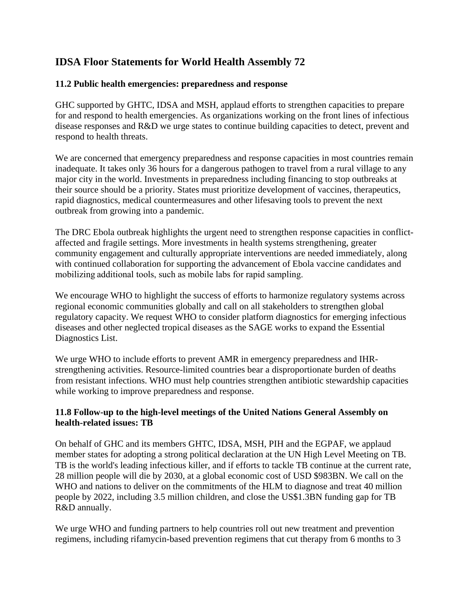## **IDSA Floor Statements for World Health Assembly 72**

## **11.2 Public health emergencies: preparedness and response**

GHC supported by GHTC, IDSA and MSH, applaud efforts to strengthen capacities to prepare for and respond to health emergencies. As organizations working on the front lines of infectious disease responses and R&D we urge states to continue building capacities to detect, prevent and respond to health threats.

We are concerned that emergency preparedness and response capacities in most countries remain inadequate. It takes only 36 hours for a dangerous pathogen to travel from a rural village to any major city in the world. Investments in preparedness including financing to stop outbreaks at their source should be a priority. States must prioritize development of vaccines, therapeutics, rapid diagnostics, medical countermeasures and other lifesaving tools to prevent the next outbreak from growing into a pandemic.

The DRC Ebola outbreak highlights the urgent need to strengthen response capacities in conflictaffected and fragile settings. More investments in health systems strengthening, greater community engagement and culturally appropriate interventions are needed immediately, along with continued collaboration for supporting the advancement of Ebola vaccine candidates and mobilizing additional tools, such as mobile labs for rapid sampling.

We encourage WHO to highlight the success of efforts to harmonize regulatory systems across regional economic communities globally and call on all stakeholders to strengthen global regulatory capacity. We request WHO to consider platform diagnostics for emerging infectious diseases and other neglected tropical diseases as the SAGE works to expand the Essential Diagnostics List.

We urge WHO to include efforts to prevent AMR in emergency preparedness and IHRstrengthening activities. Resource-limited countries bear a disproportionate burden of deaths from resistant infections. WHO must help countries strengthen antibiotic stewardship capacities while working to improve preparedness and response.

## **11.8 Follow-up to the high-level meetings of the United Nations General Assembly on health-related issues: TB**

On behalf of GHC and its members GHTC, IDSA, MSH, PIH and the EGPAF, we applaud member states for adopting a strong political declaration at the UN High Level Meeting on TB. TB is the world's leading infectious killer, and if efforts to tackle TB continue at the current rate, 28 million people will die by 2030, at a global economic cost of USD \$983BN. We call on the WHO and nations to deliver on the commitments of the HLM to diagnose and treat 40 million people by 2022, including 3.5 million children, and close the US\$1.3BN funding gap for TB R&D annually.

We urge WHO and funding partners to help countries roll out new treatment and prevention regimens, including rifamycin-based prevention regimens that cut therapy from 6 months to 3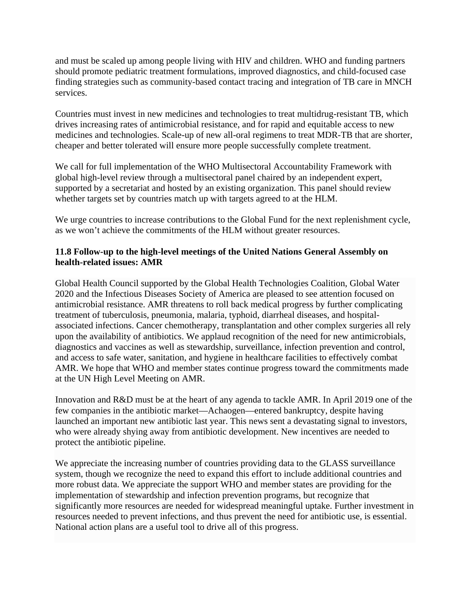and must be scaled up among people living with HIV and children. WHO and funding partners should promote pediatric treatment formulations, improved diagnostics, and child-focused case finding strategies such as community-based contact tracing and integration of TB care in MNCH services.

Countries must invest in new medicines and technologies to treat multidrug-resistant TB, which drives increasing rates of antimicrobial resistance, and for rapid and equitable access to new medicines and technologies. Scale-up of new all-oral regimens to treat MDR-TB that are shorter, cheaper and better tolerated will ensure more people successfully complete treatment.

We call for full implementation of the WHO Multisectoral Accountability Framework with global high-level review through a multisectoral panel chaired by an independent expert, supported by a secretariat and hosted by an existing organization. This panel should review whether targets set by countries match up with targets agreed to at the HLM.

We urge countries to increase contributions to the Global Fund for the next replenishment cycle, as we won't achieve the commitments of the HLM without greater resources.

## **11.8 Follow-up to the high-level meetings of the United Nations General Assembly on health-related issues: AMR**

Global Health Council supported by the Global Health Technologies Coalition, Global Water 2020 and the Infectious Diseases Society of America are pleased to see attention focused on antimicrobial resistance. AMR threatens to roll back medical progress by further complicating treatment of tuberculosis, pneumonia, malaria, typhoid, diarrheal diseases, and hospitalassociated infections. Cancer chemotherapy, transplantation and other complex surgeries all rely upon the availability of antibiotics. We applaud recognition of the need for new antimicrobials, diagnostics and vaccines as well as stewardship, surveillance, infection prevention and control, and access to safe water, sanitation, and hygiene in healthcare facilities to effectively combat AMR. We hope that WHO and member states continue progress toward the commitments made at the UN High Level Meeting on AMR.

Innovation and R&D must be at the heart of any agenda to tackle AMR. In April 2019 one of the few companies in the antibiotic market—Achaogen—entered bankruptcy, despite having launched an important new antibiotic last year. This news sent a devastating signal to investors, who were already shying away from antibiotic development. New incentives are needed to protect the antibiotic pipeline.

We appreciate the increasing number of countries providing data to the GLASS surveillance system, though we recognize the need to expand this effort to include additional countries and more robust data. We appreciate the support WHO and member states are providing for the implementation of stewardship and infection prevention programs, but recognize that significantly more resources are needed for widespread meaningful uptake. Further investment in resources needed to prevent infections, and thus prevent the need for antibiotic use, is essential. National action plans are a useful tool to drive all of this progress.